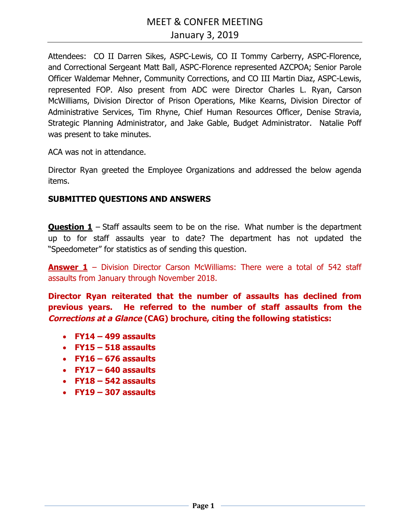Attendees: CO II Darren Sikes, ASPC-Lewis, CO II Tommy Carberry, ASPC-Florence, and Correctional Sergeant Matt Ball, ASPC-Florence represented AZCPOA; Senior Parole Officer Waldemar Mehner, Community Corrections, and CO III Martin Diaz, ASPC-Lewis, represented FOP. Also present from ADC were Director Charles L. Ryan, Carson McWilliams, Division Director of Prison Operations, Mike Kearns, Division Director of Administrative Services, Tim Rhyne, Chief Human Resources Officer, Denise Stravia, Strategic Planning Administrator, and Jake Gable, Budget Administrator. Natalie Poff was present to take minutes.

ACA was not in attendance.

Director Ryan greeted the Employee Organizations and addressed the below agenda items.

# **SUBMITTED QUESTIONS AND ANSWERS**

**Question 1** – Staff assaults seem to be on the rise. What number is the department up to for staff assaults year to date? The department has not updated the "Speedometer" for statistics as of sending this question.

**Answer 1** – Division Director Carson McWilliams: There were a total of 542 staff assaults from January through November 2018.

**Director Ryan reiterated that the number of assaults has declined from previous years. He referred to the number of staff assaults from the Corrections at a Glance (CAG) brochure, citing the following statistics:** 

- **FY14 499 assaults**
- **FY15 518 assaults**
- **FY16 676 assaults**
- **FY17 640 assaults**
- **FY18 542 assaults**
- **FY19 307 assaults**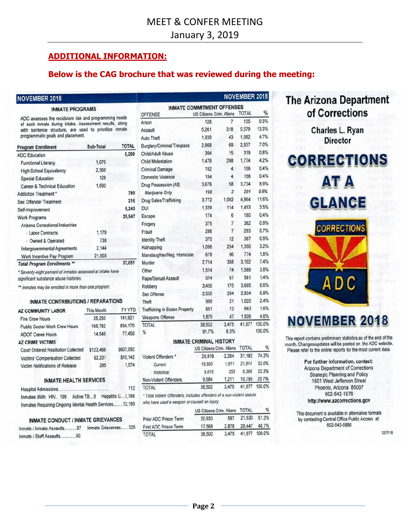# **ADDITIONAL INFORMATION:**

### **Below is the CAG brochure that was reviewed during the meeting:**

### **NOVEMBER 2018**

### **INMATE PROGRAMS**

ADC assesses the recidivism risk and programming needs of each inmate during intake. Assessment results, along with sentence structure, are used to prioritize inmate programmatic goals and placement.

| <b>Program Enrollment</b>               | Sub-Total | <b>TOTAL</b> |
|-----------------------------------------|-----------|--------------|
| <b>ADC Education</b>                    |           | 5,250        |
| <b>Functional Literacy</b>              | 1,070     |              |
| <b>High School Equivalency</b>          | 2,360     |              |
| <b>Special Education</b>                | 128       |              |
| <b>Career &amp; Technical Education</b> | 1,692     |              |
| <b>Addiction Treatment *</b>            |           | 795          |
| <b>Sex Offender Treatment</b>           |           | 216          |
| Self-Improvement                        |           | 5,243        |
| <b>Work Programs</b>                    |           | 25,547       |
| <b>Arizona Correctional Industries</b>  |           |              |
| · Labor Contracts                       | 1,170     |              |
| - Owned & Operated                      | 730       |              |
| <b>Intergovernmental Agreements</b>     | 2,144     |              |
| Work Incentive Pay Program              | 21,503    |              |
| <b>Total Program Enrollments **</b>     |           | 37,051       |

Total Program Enrollments \*\* \* Seventy-eight percent of inmates assessed at intake have

significant substance abuse histories.

\*\* Inmates may be enrolled in more than one program.

### **INMATE CONTRIBUTIONS / REPARATIONS**

| <b>AZ COMMUNITY LABOR</b>                  | This Month | <b>FY YTD</b> |
|--------------------------------------------|------------|---------------|
| <b>Fire Crew Hours</b>                     | 25,250     | 141,921       |
| <b>Public Sector Work Crew Hours</b>       | 165,782    | 834,170       |
| <b>ADOT Crews Hours</b>                    | 14,549     | 77,450        |
| <b>AZ CRIME VICTIMS</b>                    |            |               |
| <b>Court Ordered Restitution Collected</b> | \$123,466  | \$607,092     |
| <b>Victims' Compensation Collected</b>     | \$2,231    | \$10,142      |
| <b>Victim Notifications of Release</b>     | 295        | 1,574         |
|                                            |            |               |

### **INMATE HEALTH SERVICES**

| Hospital Admissions  |                                                  |                  | 112    |
|----------------------|--------------------------------------------------|------------------|--------|
| Inmates With: HIV199 | Active TB0                                       | Hepatitis C7,788 |        |
|                      | Inmates Requiring Ongoing Mental Health Services |                  | 12.195 |

### **INMATE CONDUCT / INMATE GRIEVANCES**

| Inmate / Inmate Assaults37 | Inmate Grievances325 |
|----------------------------|----------------------|
| Inmate / Staff Assaults60  |                      |

|                                                     |                                 |                | <b>NOVEMBER 2018</b> |        |
|-----------------------------------------------------|---------------------------------|----------------|----------------------|--------|
| <b>INMATE COMMITMENT OFFENSES</b><br><b>OFFENSE</b> | <b>US Citizens Crim. Aliens</b> |                | <b>TOTAL</b>         | %      |
| Arson                                               | 128                             | 7              | 135                  | 0.3%   |
| Assault                                             | 5,261                           | 318            | 5.579                | 13.3%  |
| Auto Theft                                          | 1,939                           | 43             | 1.982                | 4.7%   |
| <b>Burglary/Criminal Trespass</b>                   | 2,868                           | 69             | 2,937                | 7.0%   |
| Child/Adult Abuse                                   | 304                             | 15             | 319                  | 0.8%   |
| <b>Child Molestation</b>                            | 1,476                           | 298            | 1,774                | 4.2%   |
| <b>Criminal Damage</b>                              | 152                             | 4              | 156                  | 0.4%   |
| <b>Domestic Violence</b>                            | 154                             | 4              | 158                  | 0.4%   |
| Drug Possession (All)                               | 3,676                           | 58             | 3,734                | 8.9%   |
| Marijuana Only                                      | 198                             | 3              | 201                  | 0.5%   |
| Drug Sales/Trafficking                              | 3.772                           | 1,092          | 4,864                | 11.6%  |
| <b>DUI</b>                                          | 1,339                           | 114            | 1,453                | 3.5%   |
|                                                     | 174                             | 6              | 180                  | 0.4%   |
| Escape                                              | 375                             | 7              | 382                  | 0.9%   |
| Forgery                                             | 286                             | $\overline{7}$ | 293                  | 0.7%   |
| Fraud                                               | 375                             | 12             | 387                  | 0.9%   |
| <b>Identity Theft</b>                               | 1.096                           | 254            | 1.350                | 3.2%   |
| Kidnapping                                          | 678                             |                | 774                  | 1.8%   |
| Manslaughter/Neg. Homicide                          |                                 | 96             |                      | 7.4%   |
| Murder                                              | 2.714                           | 388            | 3.102                | 3.8%   |
| Other                                               | 1,514                           | 74             | 1.588                |        |
| Rape/Sexual Assault                                 | 514                             | 67             | 581                  | 1.4%   |
| Robbery                                             | 3,430                           | 175            | 3,605                | 8.6%   |
| <b>Sex Offense</b>                                  | 2,550                           | 284            | 2,834                | 6.8%   |
| Theft                                               | 999                             | 21             | 1,020                | 2.4%   |
| <b>Trafficking in Stolen Property</b>               | 651                             | 12             | 663                  | 1.6%   |
| <b>Weapons Offense</b>                              | 1,879                           | 47             | 1,926                | 4.6%   |
| <b>TOTAL</b>                                        | 38.502                          | 3.475          | 41,977               | 100.0% |
| %                                                   | 91.7%                           | 8.3%           |                      | 100.0% |
|                                                     | <b>INMATE CRIMINAL HISTORY</b>  |                |                      |        |
|                                                     | <b>US Citizens Crim. Aliens</b> |                | <b>TOTAL</b>         | %      |
| <b>Violent Offenders</b>                            | 28,918                          | 2,264          | 31,182               | 74.3%  |
| - Current                                           | 19,903                          | 1,911          | 21,814               | 52.0%  |
|                                                     |                                 |                |                      |        |

| Current               | 19.903 | 1.911 | 21.814 52.0% |              |
|-----------------------|--------|-------|--------------|--------------|
| · Historical          | 9.015  | 353   | 9.368        | 22.3%        |
| Non-Violent Offenders | 9.584  | 1.211 |              | 10.795 25.7% |
| <b>TOTAL</b>          | 38.502 | 3.475 | 41,977       | 100.0%       |

\* Total Violent Offenders; includes offenders of a non-violent statute who have used a weapon or caused an injury

|                              | US Citizens Crim. Aliens TOTAL |       | ℅             |       |
|------------------------------|--------------------------------|-------|---------------|-------|
| Prior ADC Prison Term        | 20.933                         | 597   | 21,530        | 51.3% |
| <b>First ADC Prison Term</b> | 2.878<br>17.569                |       | 20.447        | 48.7% |
| <b>TOTAL</b>                 | 38,502                         | 3.475 | 41,977 100.0% |       |

# **The Arizona Department** of Corrections

Charles L. Ryan **Director** 



**AT A** 

**GLANCE CORRECTIONS** A D C

# **NOVEMBER 2018**

This report contains preliminary statistics as of the end of the month. Changes/updates will be posted on the ADC website. Please refer to the online reports for the most current data.

> For further information, contact: **Arizona Department of Corrections Strategic Planning and Policy** 1601 West Jefferson Street Phoenix, Arizona 85007 602-542-1576 http://www.azcorrections.gov

This document is available in alternative formats by contacting Central Office Public Access at: 602-542-5886

12/7/18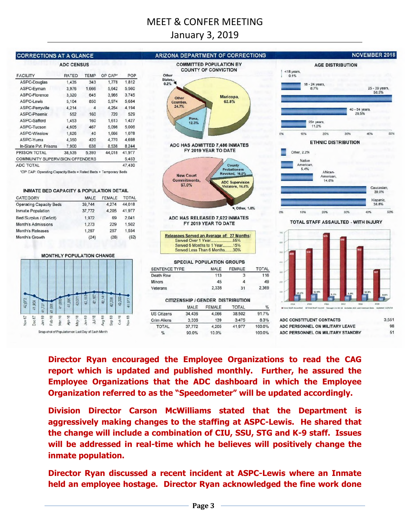# MEET & CONFER MEETING

# January 3, 2019



**Director Ryan encouraged the Employee Organizations to read the CAG report which is updated and published monthly. Further, he assured the Employee Organizations that the ADC dashboard in which the Employee Organization referred to as the "Speedometer" will be updated accordingly.** 

**Division Director Carson McWilliams stated that the Department is aggressively making changes to the staffing at ASPC-Lewis. He shared that the change will include a combination of CIU, SSU, STG and K-9 staff. Issues will be addressed in real-time which he believes will positively change the inmate population.** 

**Director Ryan discussed a recent incident at ASPC-Lewis where an Inmate held an employee hostage. Director Ryan acknowledged the fine work done**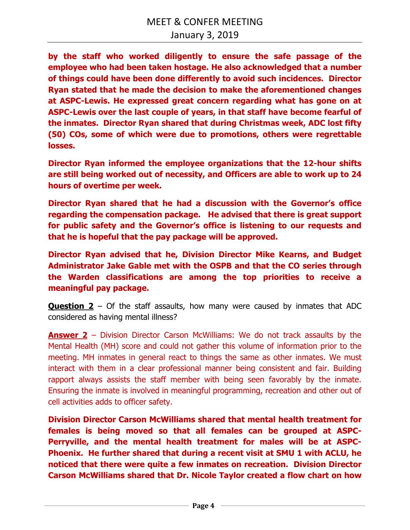**by the staff who worked diligently to ensure the safe passage of the employee who had been taken hostage. He also acknowledged that a number of things could have been done differently to avoid such incidences. Director Ryan stated that he made the decision to make the aforementioned changes at ASPC-Lewis. He expressed great concern regarding what has gone on at ASPC-Lewis over the last couple of years, in that staff have become fearful of the inmates. Director Ryan shared that during Christmas week, ADC lost fifty (50) COs, some of which were due to promotions, others were regrettable losses.** 

**Director Ryan informed the employee organizations that the 12-hour shifts are still being worked out of necessity, and Officers are able to work up to 24 hours of overtime per week.** 

**Director Ryan shared that he had a discussion with the Governor's office regarding the compensation package. He advised that there is great support for public safety and the Governor's office is listening to our requests and that he is hopeful that the pay package will be approved.** 

**Director Ryan advised that he, Division Director Mike Kearns, and Budget Administrator Jake Gable met with the OSPB and that the CO series through the Warden classifications are among the top priorities to receive a meaningful pay package.** 

**Question 2** – Of the staff assaults, how many were caused by inmates that ADC considered as having mental illness?

**Answer 2** – Division Director Carson McWilliams: We do not track assaults by the Mental Health (MH) score and could not gather this volume of information prior to the meeting. MH inmates in general react to things the same as other inmates. We must interact with them in a clear professional manner being consistent and fair. Building rapport always assists the staff member with being seen favorably by the inmate. Ensuring the inmate is involved in meaningful programming, recreation and other out of cell activities adds to officer safety.

**Division Director Carson McWilliams shared that mental health treatment for females is being moved so that all females can be grouped at ASPC-Perryville, and the mental health treatment for males will be at ASPC-Phoenix. He further shared that during a recent visit at SMU 1 with ACLU, he noticed that there were quite a few inmates on recreation. Division Director Carson McWilliams shared that Dr. Nicole Taylor created a flow chart on how**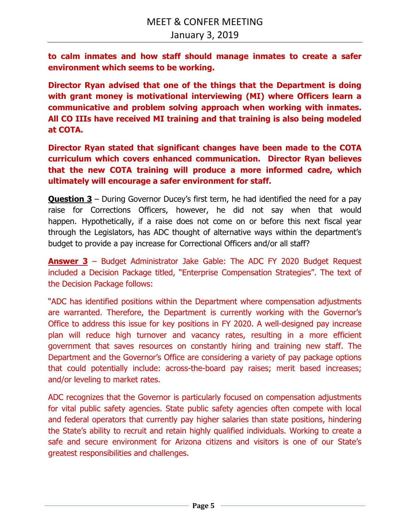**to calm inmates and how staff should manage inmates to create a safer environment which seems to be working.** 

**Director Ryan advised that one of the things that the Department is doing with grant money is motivational interviewing (MI) where Officers learn a communicative and problem solving approach when working with inmates. All CO IIIs have received MI training and that training is also being modeled at COTA.** 

**Director Ryan stated that significant changes have been made to the COTA curriculum which covers enhanced communication. Director Ryan believes that the new COTA training will produce a more informed cadre, which ultimately will encourage a safer environment for staff.** 

**Question 3** – During Governor Ducey's first term, he had identified the need for a pay raise for Corrections Officers, however, he did not say when that would happen. Hypothetically, if a raise does not come on or before this next fiscal year through the Legislators, has ADC thought of alternative ways within the department's budget to provide a pay increase for Correctional Officers and/or all staff?

**Answer 3** – Budget Administrator Jake Gable: The ADC FY 2020 Budget Request included a Decision Package titled, "Enterprise Compensation Strategies". The text of the Decision Package follows:

"ADC has identified positions within the Department where compensation adjustments are warranted. Therefore, the Department is currently working with the Governor's Office to address this issue for key positions in FY 2020. A well-designed pay increase plan will reduce high turnover and vacancy rates, resulting in a more efficient government that saves resources on constantly hiring and training new staff. The Department and the Governor's Office are considering a variety of pay package options that could potentially include: across-the-board pay raises; merit based increases; and/or leveling to market rates.

ADC recognizes that the Governor is particularly focused on compensation adjustments for vital public safety agencies. State public safety agencies often compete with local and federal operators that currently pay higher salaries than state positions, hindering the State's ability to recruit and retain highly qualified individuals. Working to create a safe and secure environment for Arizona citizens and visitors is one of our State's greatest responsibilities and challenges.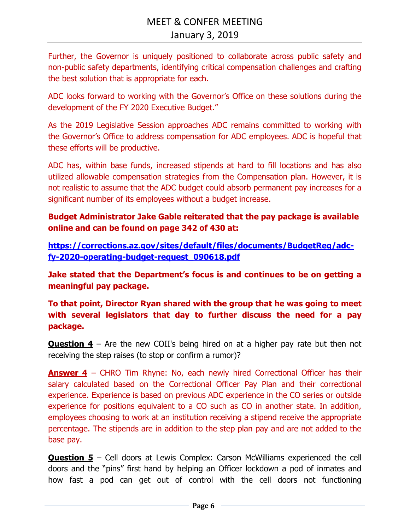Further, the Governor is uniquely positioned to collaborate across public safety and non-public safety departments, identifying critical compensation challenges and crafting the best solution that is appropriate for each.

ADC looks forward to working with the Governor's Office on these solutions during the development of the FY 2020 Executive Budget."

As the 2019 Legislative Session approaches ADC remains committed to working with the Governor's Office to address compensation for ADC employees. ADC is hopeful that these efforts will be productive.

ADC has, within base funds, increased stipends at hard to fill locations and has also utilized allowable compensation strategies from the Compensation plan. However, it is not realistic to assume that the ADC budget could absorb permanent pay increases for a significant number of its employees without a budget increase.

**Budget Administrator Jake Gable reiterated that the pay package is available online and can be found on page 342 of 430 at:** 

**https://corrections.az.gov/sites/default/files/documents/BudgetReq/adcfy-2020-operating-budget-request\_090618.pdf**

**Jake stated that the Department's focus is and continues to be on getting a meaningful pay package.** 

**To that point, Director Ryan shared with the group that he was going to meet with several legislators that day to further discuss the need for a pay package.** 

**Question 4** – Are the new COII's being hired on at a higher pay rate but then not receiving the step raises (to stop or confirm a rumor)?

**Answer 4** – CHRO Tim Rhyne: No, each newly hired Correctional Officer has their salary calculated based on the Correctional Officer Pay Plan and their correctional experience. Experience is based on previous ADC experience in the CO series or outside experience for positions equivalent to a CO such as CO in another state. In addition, employees choosing to work at an institution receiving a stipend receive the appropriate percentage. The stipends are in addition to the step plan pay and are not added to the base pay.

**Question 5** – Cell doors at Lewis Complex: Carson McWilliams experienced the cell doors and the "pins" first hand by helping an Officer lockdown a pod of inmates and how fast a pod can get out of control with the cell doors not functioning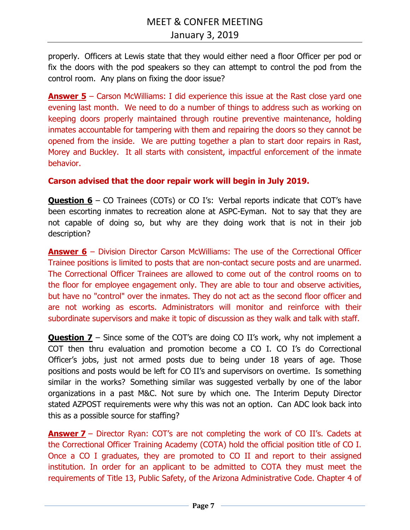properly. Officers at Lewis state that they would either need a floor Officer per pod or fix the doors with the pod speakers so they can attempt to control the pod from the control room. Any plans on fixing the door issue?

**Answer 5** – Carson McWilliams: I did experience this issue at the Rast close yard one evening last month. We need to do a number of things to address such as working on keeping doors properly maintained through routine preventive maintenance, holding inmates accountable for tampering with them and repairing the doors so they cannot be opened from the inside. We are putting together a plan to start door repairs in Rast, Morey and Buckley. It all starts with consistent, impactful enforcement of the inmate behavior.

### **Carson advised that the door repair work will begin in July 2019.**

**Question 6** – CO Trainees (COTs) or CO I's: Verbal reports indicate that COT's have been escorting inmates to recreation alone at ASPC-Eyman. Not to say that they are not capable of doing so, but why are they doing work that is not in their job description?

**Answer 6** – Division Director Carson McWilliams: The use of the Correctional Officer Trainee positions is limited to posts that are non-contact secure posts and are unarmed. The Correctional Officer Trainees are allowed to come out of the control rooms on to the floor for employee engagement only. They are able to tour and observe activities, but have no "control" over the inmates. They do not act as the second floor officer and are not working as escorts. Administrators will monitor and reinforce with their subordinate supervisors and make it topic of discussion as they walk and talk with staff.

**Question 7** – Since some of the COT's are doing CO II's work, why not implement a COT then thru evaluation and promotion become a CO I. CO I's do Correctional Officer's jobs, just not armed posts due to being under 18 years of age. Those positions and posts would be left for CO II's and supervisors on overtime. Is something similar in the works? Something similar was suggested verbally by one of the labor organizations in a past M&C. Not sure by which one. The Interim Deputy Director stated AZPOST requirements were why this was not an option. Can ADC look back into this as a possible source for staffing?

**Answer 7** – Director Ryan: COT's are not completing the work of CO II's. Cadets at the Correctional Officer Training Academy (COTA) hold the official position title of CO I. Once a CO I graduates, they are promoted to CO II and report to their assigned institution. In order for an applicant to be admitted to COTA they must meet the requirements of Title 13, Public Safety, of the Arizona Administrative Code. Chapter 4 of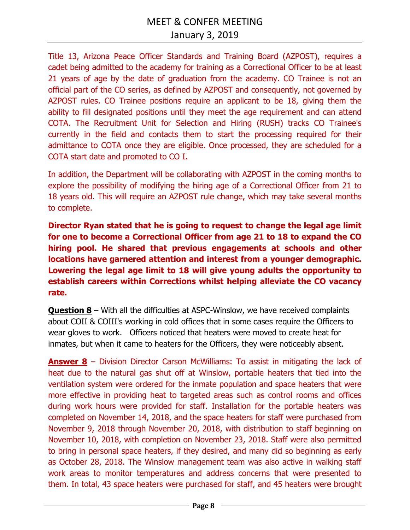Title 13, Arizona Peace Officer Standards and Training Board (AZPOST), requires a cadet being admitted to the academy for training as a Correctional Officer to be at least 21 years of age by the date of graduation from the academy. CO Trainee is not an official part of the CO series, as defined by AZPOST and consequently, not governed by AZPOST rules. CO Trainee positions require an applicant to be 18, giving them the ability to fill designated positions until they meet the age requirement and can attend COTA. The Recruitment Unit for Selection and Hiring (RUSH) tracks CO Trainee's currently in the field and contacts them to start the processing required for their admittance to COTA once they are eligible. Once processed, they are scheduled for a COTA start date and promoted to CO I.

In addition, the Department will be collaborating with AZPOST in the coming months to explore the possibility of modifying the hiring age of a Correctional Officer from 21 to 18 years old. This will require an AZPOST rule change, which may take several months to complete.

**Director Ryan stated that he is going to request to change the legal age limit for one to become a Correctional Officer from age 21 to 18 to expand the CO hiring pool. He shared that previous engagements at schools and other locations have garnered attention and interest from a younger demographic. Lowering the legal age limit to 18 will give young adults the opportunity to establish careers within Corrections whilst helping alleviate the CO vacancy rate.** 

**Question 8** – With all the difficulties at ASPC-Winslow, we have received complaints about COII & COIII's working in cold offices that in some cases require the Officers to wear gloves to work. Officers noticed that heaters were moved to create heat for inmates, but when it came to heaters for the Officers, they were noticeably absent.

**Answer 8** – Division Director Carson McWilliams: To assist in mitigating the lack of heat due to the natural gas shut off at Winslow, portable heaters that tied into the ventilation system were ordered for the inmate population and space heaters that were more effective in providing heat to targeted areas such as control rooms and offices during work hours were provided for staff. Installation for the portable heaters was completed on November 14, 2018, and the space heaters for staff were purchased from November 9, 2018 through November 20, 2018, with distribution to staff beginning on November 10, 2018, with completion on November 23, 2018. Staff were also permitted to bring in personal space heaters, if they desired, and many did so beginning as early as October 28, 2018. The Winslow management team was also active in walking staff work areas to monitor temperatures and address concerns that were presented to them. In total, 43 space heaters were purchased for staff, and 45 heaters were brought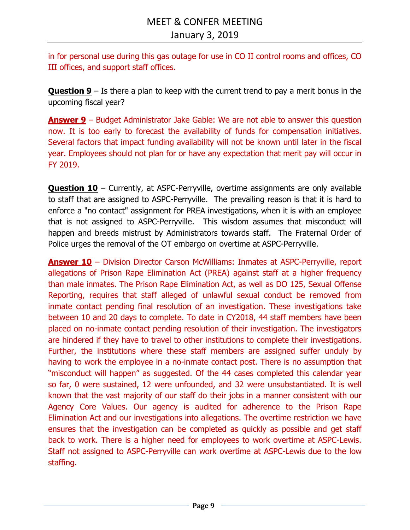in for personal use during this gas outage for use in CO II control rooms and offices, CO III offices, and support staff offices.

**Question 9** – Is there a plan to keep with the current trend to pay a merit bonus in the upcoming fiscal year?

**Answer 9** – Budget Administrator Jake Gable: We are not able to answer this question now. It is too early to forecast the availability of funds for compensation initiatives. Several factors that impact funding availability will not be known until later in the fiscal year. Employees should not plan for or have any expectation that merit pay will occur in FY 2019.

**Question 10** – Currently, at ASPC-Perryville, overtime assignments are only available to staff that are assigned to ASPC-Perryville. The prevailing reason is that it is hard to enforce a "no contact" assignment for PREA investigations, when it is with an employee that is not assigned to ASPC-Perryville. This wisdom assumes that misconduct will happen and breeds mistrust by Administrators towards staff. The Fraternal Order of Police urges the removal of the OT embargo on overtime at ASPC-Perryville.

**Answer 10** – Division Director Carson McWilliams: Inmates at ASPC-Perryville, report allegations of Prison Rape Elimination Act (PREA) against staff at a higher frequency than male inmates. The Prison Rape Elimination Act, as well as DO 125, Sexual Offense Reporting, requires that staff alleged of unlawful sexual conduct be removed from inmate contact pending final resolution of an investigation. These investigations take between 10 and 20 days to complete. To date in CY2018, 44 staff members have been placed on no-inmate contact pending resolution of their investigation. The investigators are hindered if they have to travel to other institutions to complete their investigations. Further, the institutions where these staff members are assigned suffer unduly by having to work the employee in a no-inmate contact post. There is no assumption that "misconduct will happen" as suggested. Of the 44 cases completed this calendar year so far, 0 were sustained, 12 were unfounded, and 32 were unsubstantiated. It is well known that the vast majority of our staff do their jobs in a manner consistent with our Agency Core Values. Our agency is audited for adherence to the Prison Rape Elimination Act and our investigations into allegations. The overtime restriction we have ensures that the investigation can be completed as quickly as possible and get staff back to work. There is a higher need for employees to work overtime at ASPC-Lewis. Staff not assigned to ASPC-Perryville can work overtime at ASPC-Lewis due to the low staffing.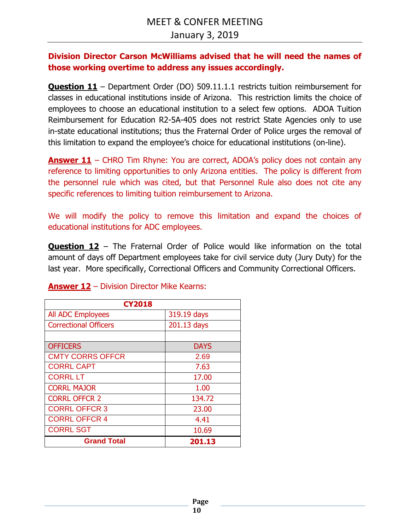## **Division Director Carson McWilliams advised that he will need the names of those working overtime to address any issues accordingly.**

**Question 11** – Department Order (DO) 509.11.1.1 restricts tuition reimbursement for classes in educational institutions inside of Arizona. This restriction limits the choice of employees to choose an educational institution to a select few options. ADOA Tuition Reimbursement for Education R2-5A-405 does not restrict State Agencies only to use in-state educational institutions; thus the Fraternal Order of Police urges the removal of this limitation to expand the employee's choice for educational institutions (on-line).

**Answer 11** – CHRO Tim Rhyne: You are correct, ADOA's policy does not contain any reference to limiting opportunities to only Arizona entities. The policy is different from the personnel rule which was cited, but that Personnel Rule also does not cite any specific references to limiting tuition reimbursement to Arizona.

We will modify the policy to remove this limitation and expand the choices of educational institutions for ADC employees.

**Question 12** – The Fraternal Order of Police would like information on the total amount of days off Department employees take for civil service duty (Jury Duty) for the last year. More specifically, Correctional Officers and Community Correctional Officers.

| <b>CY2018</b>                |             |  |
|------------------------------|-------------|--|
| <b>All ADC Employees</b>     | 319.19 days |  |
| <b>Correctional Officers</b> | 201.13 days |  |
|                              |             |  |
| <b>OFFICERS</b>              | <b>DAYS</b> |  |
| <b>CMTY CORRS OFFCR</b>      | 2.69        |  |
| <b>CORRL CAPT</b>            | 7.63        |  |
| <b>CORRL LT</b>              | 17.00       |  |
| <b>CORRL MAJOR</b>           | 1.00        |  |
| <b>CORRL OFFCR 2</b>         | 134.72      |  |
| <b>CORRL OFFCR 3</b>         | 23.00       |  |
| <b>CORRL OFFCR 4</b>         | 4.41        |  |
| <b>CORRL SGT</b>             | 10.69       |  |
| <b>Grand Total</b>           | 201.13      |  |

## **Answer 12** – Division Director Mike Kearns: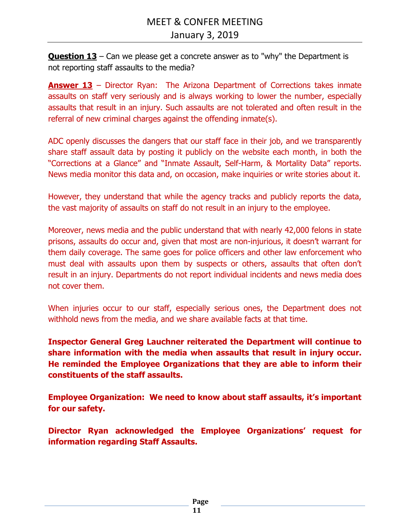**Question 13** – Can we please get a concrete answer as to "why" the Department is not reporting staff assaults to the media?

**Answer 13** – Director Ryan: The Arizona Department of Corrections takes inmate assaults on staff very seriously and is always working to lower the number, especially assaults that result in an injury. Such assaults are not tolerated and often result in the referral of new criminal charges against the offending inmate(s).

ADC openly discusses the dangers that our staff face in their job, and we transparently share staff assault data by posting it publicly on the website each month, in both the "Corrections at a Glance" and "Inmate Assault, Self-Harm, & Mortality Data" reports. News media monitor this data and, on occasion, make inquiries or write stories about it.

However, they understand that while the agency tracks and publicly reports the data, the vast majority of assaults on staff do not result in an injury to the employee.

Moreover, news media and the public understand that with nearly 42,000 felons in state prisons, assaults do occur and, given that most are non-injurious, it doesn't warrant for them daily coverage. The same goes for police officers and other law enforcement who must deal with assaults upon them by suspects or others, assaults that often don't result in an injury. Departments do not report individual incidents and news media does not cover them.

When injuries occur to our staff, especially serious ones, the Department does not withhold news from the media, and we share available facts at that time.

**Inspector General Greg Lauchner reiterated the Department will continue to share information with the media when assaults that result in injury occur. He reminded the Employee Organizations that they are able to inform their constituents of the staff assaults.** 

**Employee Organization: We need to know about staff assaults, it's important for our safety.** 

**Director Ryan acknowledged the Employee Organizations' request for information regarding Staff Assaults.**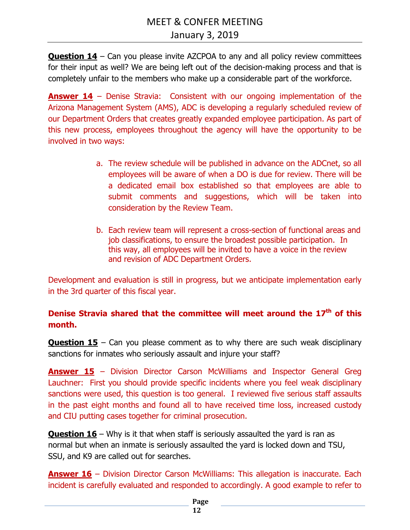**Question 14** – Can you please invite AZCPOA to any and all policy review committees for their input as well? We are being left out of the decision-making process and that is completely unfair to the members who make up a considerable part of the workforce.

**Answer 14** – Denise Stravia: Consistent with our ongoing implementation of the Arizona Management System (AMS), ADC is developing a regularly scheduled review of our Department Orders that creates greatly expanded employee participation. As part of this new process, employees throughout the agency will have the opportunity to be involved in two ways:

- a. The review schedule will be published in advance on the ADCnet, so all employees will be aware of when a DO is due for review. There will be a dedicated email box established so that employees are able to submit comments and suggestions, which will be taken into consideration by the Review Team.
- b. Each review team will represent a cross-section of functional areas and job classifications, to ensure the broadest possible participation. In this way, all employees will be invited to have a voice in the review and revision of ADC Department Orders.

Development and evaluation is still in progress, but we anticipate implementation early in the 3rd quarter of this fiscal year.

**Denise Stravia shared that the committee will meet around the 17th of this month.** 

**Question 15** – Can you please comment as to why there are such weak disciplinary sanctions for inmates who seriously assault and injure your staff?

**Answer 15** – Division Director Carson McWilliams and Inspector General Greg Lauchner: First you should provide specific incidents where you feel weak disciplinary sanctions were used, this question is too general. I reviewed five serious staff assaults in the past eight months and found all to have received time loss, increased custody and CIU putting cases together for criminal prosecution.

**Question 16** – Why is it that when staff is seriously assaulted the yard is ran as normal but when an inmate is seriously assaulted the yard is locked down and TSU, SSU, and K9 are called out for searches.

**Answer 16** – Division Director Carson McWilliams: This allegation is inaccurate. Each incident is carefully evaluated and responded to accordingly. A good example to refer to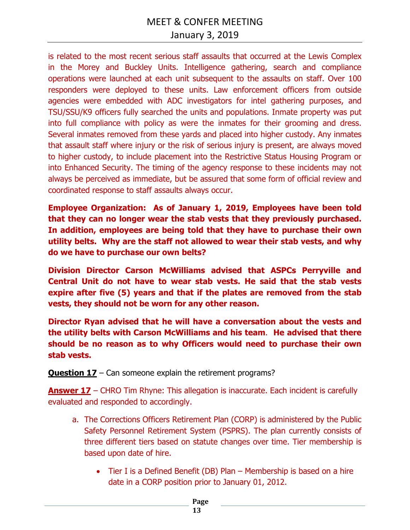is related to the most recent serious staff assaults that occurred at the Lewis Complex in the Morey and Buckley Units. Intelligence gathering, search and compliance operations were launched at each unit subsequent to the assaults on staff. Over 100 responders were deployed to these units. Law enforcement officers from outside agencies were embedded with ADC investigators for intel gathering purposes, and TSU/SSU/K9 officers fully searched the units and populations. Inmate property was put into full compliance with policy as were the inmates for their grooming and dress. Several inmates removed from these yards and placed into higher custody. Any inmates that assault staff where injury or the risk of serious injury is present, are always moved to higher custody, to include placement into the Restrictive Status Housing Program or into Enhanced Security. The timing of the agency response to these incidents may not always be perceived as immediate, but be assured that some form of official review and coordinated response to staff assaults always occur.

**Employee Organization: As of January 1, 2019, Employees have been told that they can no longer wear the stab vests that they previously purchased. In addition, employees are being told that they have to purchase their own utility belts. Why are the staff not allowed to wear their stab vests, and why do we have to purchase our own belts?** 

**Division Director Carson McWilliams advised that ASPCs Perryville and Central Unit do not have to wear stab vests. He said that the stab vests expire after five (5) years and that if the plates are removed from the stab vests, they should not be worn for any other reason.** 

**Director Ryan advised that he will have a conversation about the vests and the utility belts with Carson McWilliams and his team**. **He advised that there should be no reason as to why Officers would need to purchase their own stab vests.** 

**Question 17** – Can someone explain the retirement programs?

**Answer 17** – CHRO Tim Rhyne: This allegation is inaccurate. Each incident is carefully evaluated and responded to accordingly.

- a. The Corrections Officers Retirement Plan (CORP) is administered by the Public Safety Personnel Retirement System (PSPRS). The plan currently consists of three different tiers based on statute changes over time. Tier membership is based upon date of hire.
	- Tier I is a Defined Benefit (DB) Plan Membership is based on a hire date in a CORP position prior to January 01, 2012.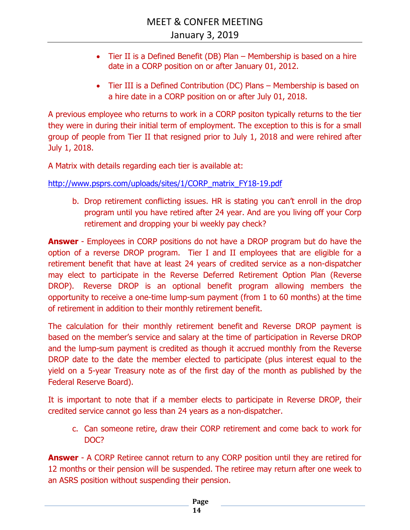- Tier II is a Defined Benefit (DB) Plan Membership is based on a hire date in a CORP position on or after January 01, 2012.
- Tier III is a Defined Contribution (DC) Plans Membership is based on a hire date in a CORP position on or after July 01, 2018.

A previous employee who returns to work in a CORP positon typically returns to the tier they were in during their initial term of employment. The exception to this is for a small group of people from Tier II that resigned prior to July 1, 2018 and were rehired after July 1, 2018.

A Matrix with details regarding each tier is available at:

http://www.psprs.com/uploads/sites/1/CORP\_matrix\_FY18-19.pdf

b. Drop retirement conflicting issues. HR is stating you can't enroll in the drop program until you have retired after 24 year. And are you living off your Corp retirement and dropping your bi weekly pay check?

**Answer** - Employees in CORP positions do not have a DROP program but do have the option of a reverse DROP program. Tier I and II employees that are eligible for a retirement benefit that have at least 24 years of credited service as a non-dispatcher may elect to participate in the Reverse Deferred Retirement Option Plan (Reverse DROP). Reverse DROP is an optional benefit program allowing members the opportunity to receive a one-time lump-sum payment (from 1 to 60 months) at the time of retirement in addition to their monthly retirement benefit.

The calculation for their monthly retirement benefit and Reverse DROP payment is based on the member's service and salary at the time of participation in Reverse DROP and the lump-sum payment is credited as though it accrued monthly from the Reverse DROP date to the date the member elected to participate (plus interest equal to the yield on a 5-year Treasury note as of the first day of the month as published by the Federal Reserve Board).

It is important to note that if a member elects to participate in Reverse DROP, their credited service cannot go less than 24 years as a non-dispatcher.

c. Can someone retire, draw their CORP retirement and come back to work for DOC?

**Answer** - A CORP Retiree cannot return to any CORP position until they are retired for 12 months or their pension will be suspended. The retiree may return after one week to an ASRS position without suspending their pension.